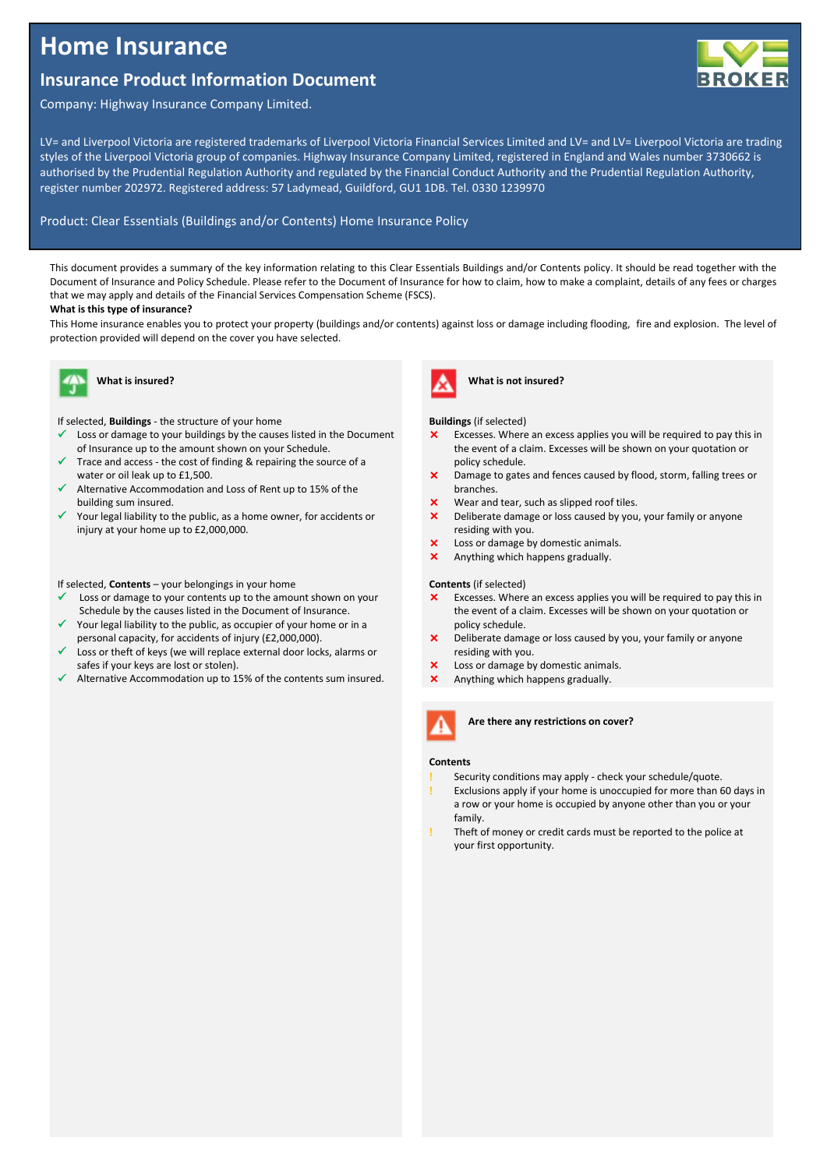# **Home Insurance**

# **Insurance Product Information Document**



LV= and Liverpool Victoria are registered trademarks of Liverpool Victoria Financial Services Limited and LV= and LV= Liverpool Victoria are trading styles of the Liverpool Victoria group of companies. Highway Insurance Company Limited, registered in England and Wales number 3730662 is authorised by the Prudential Regulation Authority and regulated by the Financial Conduct Authority and the Prudential Regulation Authority, register number 202972. Registered address: 57 Ladymead, Guildford, GU1 1DB. Tel. 0330 1239970

#### Product: Clear Essentials (Buildings and/or Contents) Home Insurance Policy

This document provides a summary of the key information relating to this Clear Essentials Buildings and/or Contents policy. It should be read together with the Document of Insurance and Policy Schedule. Please refer to the Document of Insurance for how to claim, how to make a complaint, details of any fees or charges that we may apply and details of the Financial Services Compensation Scheme (FSCS).

#### **What is this type of insurance?**

This Home insurance enables you to protect your property (buildings and/or contents) against loss or damage including flooding, fire and explosion. The level of protection provided will depend on the cover you have selected.



# **What is insured?**

If selected, **Buildings** - the structure of your home

- Loss or damage to your buildings by the causes listed in the Document of Insurance up to the amount shown on your Schedule.
- Trace and access the cost of finding & repairing the source of a water or oil leak up to £1,500.
- Alternative Accommodation and Loss of Rent up to 15% of the building sum insured.
- Your legal liability to the public, as a home owner, for accidents or injury at your home up to £2,000,000.

#### If selected, **Contents** – your belongings in your home

- Loss or damage to your contents up to the amount shown on your Schedule by the causes listed in the Document of Insurance.
- Your legal liability to the public, as occupier of your home or in a personal capacity, for accidents of injury (£2,000,000).
- Loss or theft of keys (we will replace external door locks, alarms or safes if your keys are lost or stolen).
- Alternative Accommodation up to 15% of the contents sum insured.



**What is not insured?**

#### **Buildings** (if selected)

- Excesses. Where an excess applies you will be required to pay this in the event of a claim. Excesses will be shown on your quotation or policy schedule.
- Damage to gates and fences caused by flood, storm, falling trees or branches.
- Wear and tear, such as slipped roof tiles.
- X Deliberate damage or loss caused by you, your family or anyone residing with you.
- X Loss or damage by domestic animals.
- Anything which happens gradually.

#### **Contents** (if selected)

- **X** Excesses. Where an excess applies you will be required to pay this in the event of a claim. Excesses will be shown on your quotation or policy schedule.
- X Deliberate damage or loss caused by you, your family or anyone residing with you.
- X Loss or damage by domestic animals.
- Anything which happens gradually.



#### **Are there any restrictions on cover?**

#### **Contents**

- Security conditions may apply check your schedule/quote.
- Exclusions apply if your home is unoccupied for more than 60 days in a row or your home is occupied by anyone other than you or your family.
- Theft of money or credit cards must be reported to the police at your first opportunity.